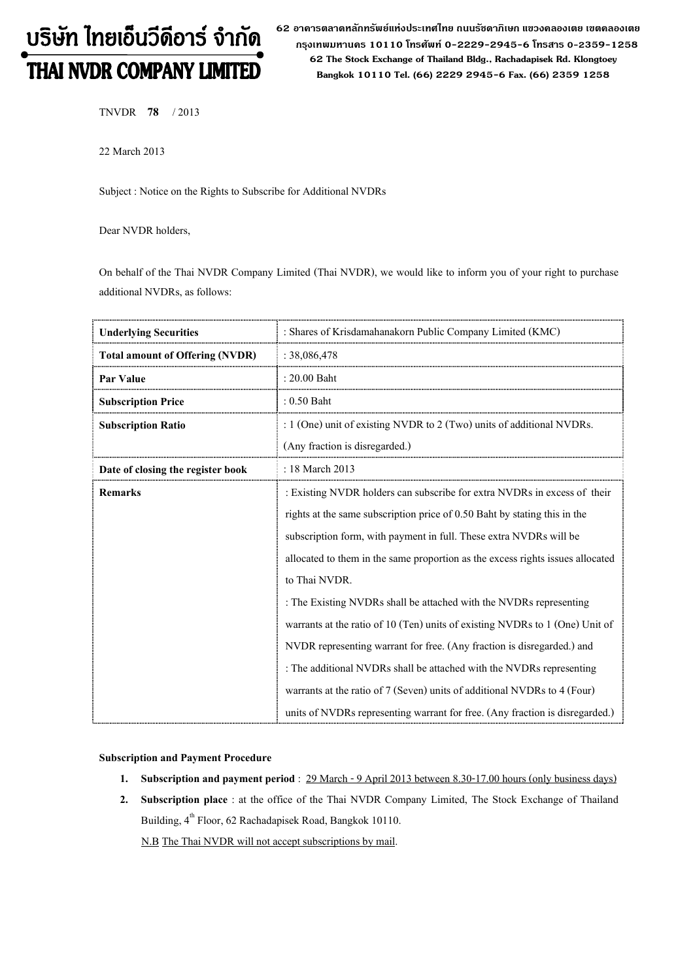# บริษัท ไทยเอ็นวีดีอาร์ จำกัด THAI NVDR COMPANY LIMITED

62 อาดารตลาดหลักทรัพย์แห่งประเทศไทย ถนนรัซดาภิเษก แขวงดลองเตย เขตดลองเตย กรุงเทพมหานดร 10110 โทรศัพท์ 0-2229-2945-6 โทรสาร 0-2359-1258 62 The Stock Exchange of Thailand Bldg., Rachadapisek Rd. Klongtoey Bangkok 10110 Tel. (66) 2229 2945-6 Fax. (66) 2359 1258

TNVDR 78 / 2013

22 March 2013

Subject : Notice on the Rights to Subscribe for Additional NVDRs

Dear NVDR holders,

On behalf of the Thai NVDR Company Limited (Thai NVDR), we would like to inform you of your right to purchase additional NVDRs, as follows:

| <b>Underlying Securities</b>           | : Shares of Krisdamahanakorn Public Company Limited (KMC)                      |  |
|----------------------------------------|--------------------------------------------------------------------------------|--|
| <b>Total amount of Offering (NVDR)</b> | : 38,086,478                                                                   |  |
| Par Value                              | $: 20.00$ Baht                                                                 |  |
| <b>Subscription Price</b>              | $: 0.50$ Baht                                                                  |  |
| <b>Subscription Ratio</b>              | : $1$ (One) unit of existing NVDR to $2$ (Two) units of additional NVDRs.      |  |
|                                        | (Any fraction is disregarded.)                                                 |  |
| Date of closing the register book      | : 18 March 2013                                                                |  |
| <b>Remarks</b>                         | : Existing NVDR holders can subscribe for extra NVDRs in excess of their       |  |
|                                        | rights at the same subscription price of 0.50 Baht by stating this in the      |  |
|                                        | subscription form, with payment in full. These extra NVDRs will be             |  |
|                                        | allocated to them in the same proportion as the excess rights issues allocated |  |
|                                        | to Thai NVDR.                                                                  |  |
|                                        | : The Existing NVDRs shall be attached with the NVDRs representing             |  |
|                                        | warrants at the ratio of 10 (Ten) units of existing NVDRs to 1 (One) Unit of   |  |
|                                        | NVDR representing warrant for free. (Any fraction is disregarded.) and         |  |
|                                        | : The additional NVDRs shall be attached with the NVDRs representing           |  |
|                                        | warrants at the ratio of 7 (Seven) units of additional NVDRs to 4 (Four)       |  |
|                                        | units of NVDRs representing warrant for free. (Any fraction is disregarded.)   |  |

### Subscription and Payment Procedure

- 1. Subscription and payment period : 29 March 9 April 2013 between 8.30-17.00 hours (only business days)
- 2. Subscription place : at the office of the Thai NVDR Company Limited, The Stock Exchange of Thailand Building,  $4^{th}$  Floor, 62 Rachadapisek Road, Bangkok 10110.

N.B The Thai NVDR will not accept subscriptions by mail.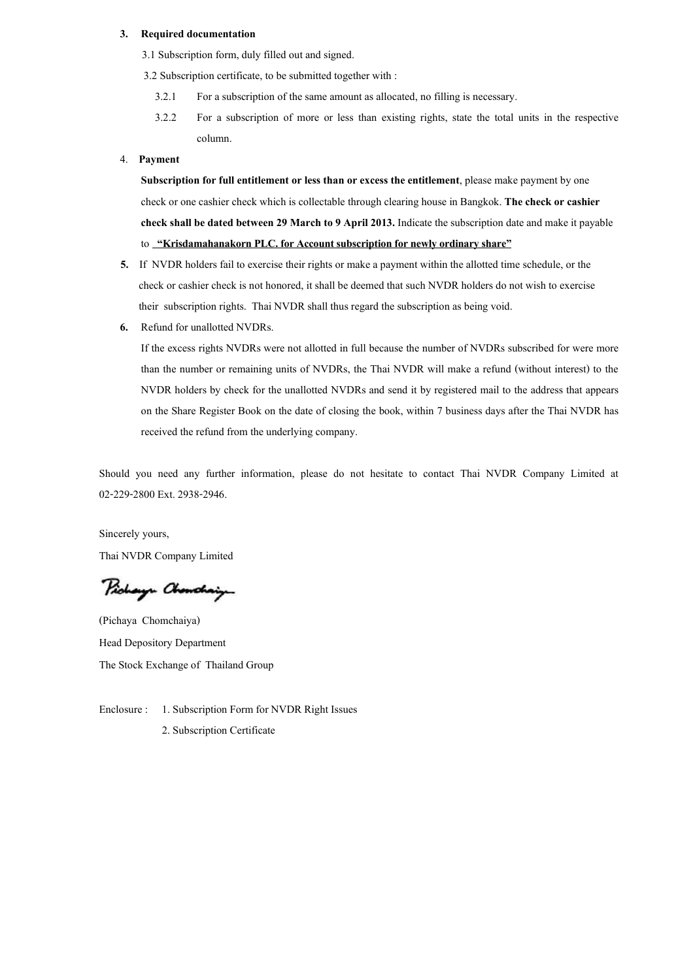#### 3. Required documentation

- 3.1 Subscription form, duly filled out and signed.
- 3.2 Subscription certificate, to be submitted together with :
	- 3.2.1 For a subscription of the same amount as allocated, no filling is necessary.
	- 3.2.2 For a subscription of more or less than existing rights, state the total units in the respective column.

#### 4. Payment

Subscription for full entitlement or less than or excess the entitlement, please make payment by one check or one cashier check which is collectable through clearing house in Bangkok. The check or cashier check shall be dated between 29 March to 9 April 2013. Indicate the subscription date and make it payable to **"Krisdamahanakorn PLC. for Account subscription for newly ordinary share"** 

- 5. If NVDR holders fail to exercise their rights or make a payment within the allotted time schedule, or the check or cashier check is not honored, it shall be deemed that such NVDR holders do not wish to exercise their subscription rights. Thai NVDR shall thus regard the subscription as being void.
- 6. Refund for unallotted NVDRs.

If the excess rights NVDRs were not allotted in full because the number of NVDRs subscribed for were more than the number or remaining units of NVDRs, the Thai NVDR will make a refund (without interest) to the NVDR holders by check for the unallotted NVDRs and send it by registered mail to the address that appears on the Share Register Book on the date of closing the book, within 7 business days after the Thai NVDR has received the refund from the underlying company.

Should you need any further information, please do not hesitate to contact Thai NVDR Company Limited at 02-229-2800 Ext. 2938-2946.

Sincerely yours, Thai NVDR Company Limited

Pichaya Chenchaig

(Pichaya Chomchaiya) Head Depository Department The Stock Exchange of Thailand Group

Enclosure : 1. Subscription Form for NVDR Right Issues 2. Subscription Certificate